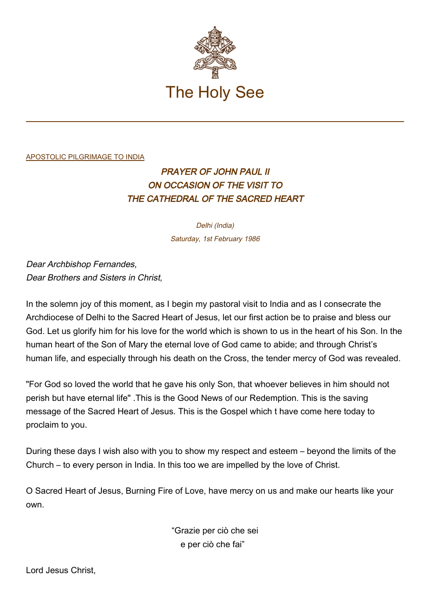

## [APOSTOLIC PILGRIMAGE TO INDIA](http://localhost/holy_father/john_paul_ii/travels/sub_index1986/trav_india.htm)

## PRAYER OF JOHN PAUL II ON OCCASION OF THE VISIT TO THE CATHEDRAL OF THE SACRED HEART

Delhi (India) Saturday, 1st February 1986

Dear Archbishop Fernandes, Dear Brothers and Sisters in Christ,

In the solemn joy of this moment, as I begin my pastoral visit to India and as I consecrate the Archdiocese of Delhi to the Sacred Heart of Jesus, let our first action be to praise and bless our God. Let us glorify him for his love for the world which is shown to us in the heart of his Son. In the human heart of the Son of Mary the eternal love of God came to abide; and through Christ's human life, and especially through his death on the Cross, the tender mercy of God was revealed.

"For God so loved the world that he gave his only Son, that whoever believes in him should not perish but have eternal life" .This is the Good News of our Redemption. This is the saving message of the Sacred Heart of Jesus. This is the Gospel which t have come here today to proclaim to you.

During these days I wish also with you to show my respect and esteem – beyond the limits of the Church – to every person in India. In this too we are impelled by the love of Christ.

O Sacred Heart of Jesus, Burning Fire of Love, have mercy on us and make our hearts like your own.

> "Grazie per ciò che sei e per ciò che fai"

Lord Jesus Christ,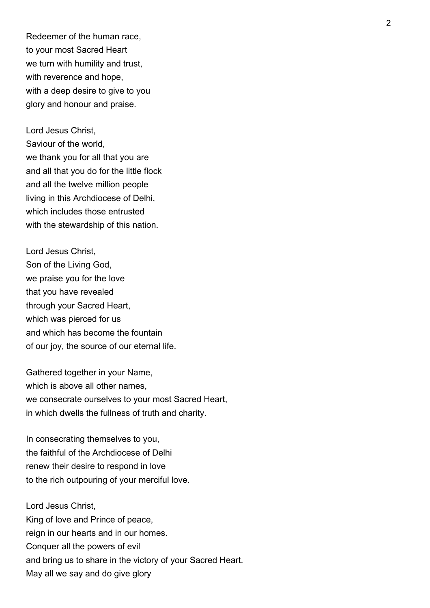Redeemer of the human race, to your most Sacred Heart we turn with humility and trust, with reverence and hope, with a deep desire to give to you glory and honour and praise.

Lord Jesus Christ, Saviour of the world, we thank you for all that you are and all that you do for the little flock and all the twelve million people living in this Archdiocese of Delhi, which includes those entrusted with the stewardship of this nation.

Lord Jesus Christ, Son of the Living God, we praise you for the love that you have revealed through your Sacred Heart, which was pierced for us and which has become the fountain of our joy, the source of our eternal life.

Gathered together in your Name, which is above all other names. we consecrate ourselves to your most Sacred Heart, in which dwells the fullness of truth and charity.

In consecrating themselves to you, the faithful of the Archdiocese of Delhi renew their desire to respond in love to the rich outpouring of your merciful love.

Lord Jesus Christ, King of love and Prince of peace, reign in our hearts and in our homes. Conquer all the powers of evil and bring us to share in the victory of your Sacred Heart. May all we say and do give glory